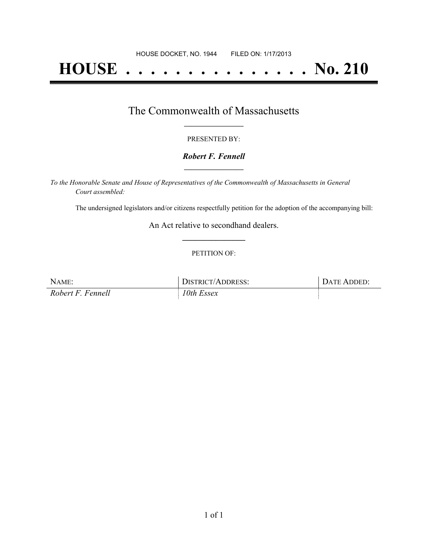# **HOUSE . . . . . . . . . . . . . . . No. 210**

## The Commonwealth of Massachusetts **\_\_\_\_\_\_\_\_\_\_\_\_\_\_\_\_\_**

#### PRESENTED BY:

#### *Robert F. Fennell* **\_\_\_\_\_\_\_\_\_\_\_\_\_\_\_\_\_**

*To the Honorable Senate and House of Representatives of the Commonwealth of Massachusetts in General Court assembled:*

The undersigned legislators and/or citizens respectfully petition for the adoption of the accompanying bill:

An Act relative to secondhand dealers. **\_\_\_\_\_\_\_\_\_\_\_\_\_\_\_**

#### PETITION OF:

| NAME:             | DISTRICT/ADDRESS: | DATE ADDED: |
|-------------------|-------------------|-------------|
| Robert F. Fennell | 10th Essex        |             |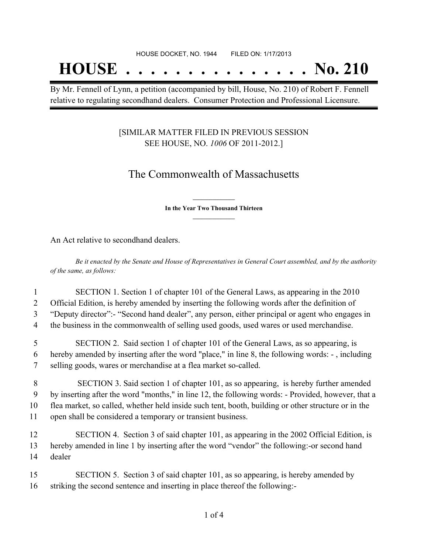## **HOUSE . . . . . . . . . . . . . . . No. 210**

By Mr. Fennell of Lynn, a petition (accompanied by bill, House, No. 210) of Robert F. Fennell relative to regulating secondhand dealers. Consumer Protection and Professional Licensure.

#### [SIMILAR MATTER FILED IN PREVIOUS SESSION SEE HOUSE, NO. *1006* OF 2011-2012.]

## The Commonwealth of Massachusetts

**\_\_\_\_\_\_\_\_\_\_\_\_\_\_\_ In the Year Two Thousand Thirteen \_\_\_\_\_\_\_\_\_\_\_\_\_\_\_**

An Act relative to secondhand dealers.

Be it enacted by the Senate and House of Representatives in General Court assembled, and by the authority *of the same, as follows:*

 SECTION 1. Section 1 of chapter 101 of the General Laws, as appearing in the 2010 Official Edition, is hereby amended by inserting the following words after the definition of "Deputy director":- "Second hand dealer", any person, either principal or agent who engages in the business in the commonwealth of selling used goods, used wares or used merchandise.

5 SECTION 2. Said section 1 of chapter 101 of the General Laws, as so appearing, is 6 hereby amended by inserting after the word "place," in line 8, the following words: - , including 7 selling goods, wares or merchandise at a flea market so-called.

 SECTION 3. Said section 1 of chapter 101, as so appearing, is hereby further amended by inserting after the word "months," in line 12, the following words: - Provided, however, that a flea market, so called, whether held inside such tent, booth, building or other structure or in the open shall be considered a temporary or transient business.

12 SECTION 4. Section 3 of said chapter 101, as appearing in the 2002 Official Edition, is 13 hereby amended in line 1 by inserting after the word "vendor" the following:-or second hand 14 dealer

15 SECTION 5. Section 3 of said chapter 101, as so appearing, is hereby amended by 16 striking the second sentence and inserting in place thereof the following:-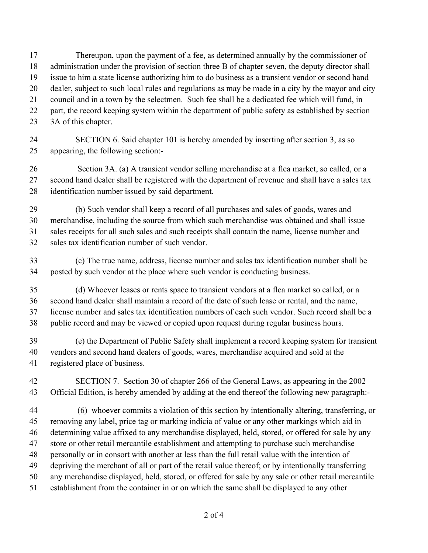Thereupon, upon the payment of a fee, as determined annually by the commissioner of administration under the provision of section three B of chapter seven, the deputy director shall issue to him a state license authorizing him to do business as a transient vendor or second hand dealer, subject to such local rules and regulations as may be made in a city by the mayor and city council and in a town by the selectmen. Such fee shall be a dedicated fee which will fund, in 22 part, the record keeping system within the department of public safety as established by section

3A of this chapter.

### SECTION 6. Said chapter 101 is hereby amended by inserting after section 3, as so appearing, the following section:-

 Section 3A. (a) A transient vendor selling merchandise at a flea market, so called, or a second hand dealer shall be registered with the department of revenue and shall have a sales tax identification number issued by said department.

 (b) Such vendor shall keep a record of all purchases and sales of goods, wares and merchandise, including the source from which such merchandise was obtained and shall issue sales receipts for all such sales and such receipts shall contain the name, license number and sales tax identification number of such vendor.

 (c) The true name, address, license number and sales tax identification number shall be posted by such vendor at the place where such vendor is conducting business.

 (d) Whoever leases or rents space to transient vendors at a flea market so called, or a second hand dealer shall maintain a record of the date of such lease or rental, and the name, license number and sales tax identification numbers of each such vendor. Such record shall be a public record and may be viewed or copied upon request during regular business hours.

 (e) the Department of Public Safety shall implement a record keeping system for transient vendors and second hand dealers of goods, wares, merchandise acquired and sold at the registered place of business.

 SECTION 7. Section 30 of chapter 266 of the General Laws, as appearing in the 2002 Official Edition, is hereby amended by adding at the end thereof the following new paragraph:-

 (6) whoever commits a violation of this section by intentionally altering, transferring, or removing any label, price tag or marking indicia of value or any other markings which aid in determining value affixed to any merchandise displayed, held, stored, or offered for sale by any store or other retail mercantile establishment and attempting to purchase such merchandise personally or in consort with another at less than the full retail value with the intention of depriving the merchant of all or part of the retail value thereof; or by intentionally transferring any merchandise displayed, held, stored, or offered for sale by any sale or other retail mercantile establishment from the container in or on which the same shall be displayed to any other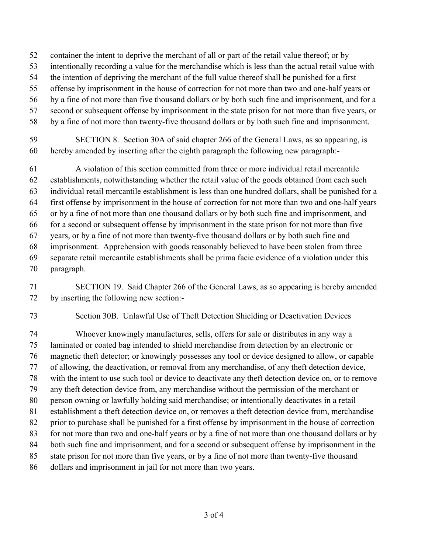- container the intent to deprive the merchant of all or part of the retail value thereof; or by
- intentionally recording a value for the merchandise which is less than the actual retail value with
- the intention of depriving the merchant of the full value thereof shall be punished for a first
- offense by imprisonment in the house of correction for not more than two and one-half years or
- by a fine of not more than five thousand dollars or by both such fine and imprisonment, and for a
- second or subsequent offense by imprisonment in the state prison for not more than five years, or
- by a fine of not more than twenty-five thousand dollars or by both such fine and imprisonment.
- SECTION 8. Section 30A of said chapter 266 of the General Laws, as so appearing, is hereby amended by inserting after the eighth paragraph the following new paragraph:-

 A violation of this section committed from three or more individual retail mercantile establishments, notwithstanding whether the retail value of the goods obtained from each such individual retail mercantile establishment is less than one hundred dollars, shall be punished for a first offense by imprisonment in the house of correction for not more than two and one-half years or by a fine of not more than one thousand dollars or by both such fine and imprisonment, and for a second or subsequent offense by imprisonment in the state prison for not more than five years, or by a fine of not more than twenty-five thousand dollars or by both such fine and imprisonment. Apprehension with goods reasonably believed to have been stolen from three separate retail mercantile establishments shall be prima facie evidence of a violation under this paragraph.

- SECTION 19. Said Chapter 266 of the General Laws, as so appearing is hereby amended by inserting the following new section:-
- 

Section 30B. Unlawful Use of Theft Detection Shielding or Deactivation Devices

 Whoever knowingly manufactures, sells, offers for sale or distributes in any way a laminated or coated bag intended to shield merchandise from detection by an electronic or magnetic theft detector; or knowingly possesses any tool or device designed to allow, or capable of allowing, the deactivation, or removal from any merchandise, of any theft detection device, with the intent to use such tool or device to deactivate any theft detection device on, or to remove any theft detection device from, any merchandise without the permission of the merchant or person owning or lawfully holding said merchandise; or intentionally deactivates in a retail establishment a theft detection device on, or removes a theft detection device from, merchandise prior to purchase shall be punished for a first offense by imprisonment in the house of correction for not more than two and one-half years or by a fine of not more than one thousand dollars or by both such fine and imprisonment, and for a second or subsequent offense by imprisonment in the state prison for not more than five years, or by a fine of not more than twenty-five thousand dollars and imprisonment in jail for not more than two years.